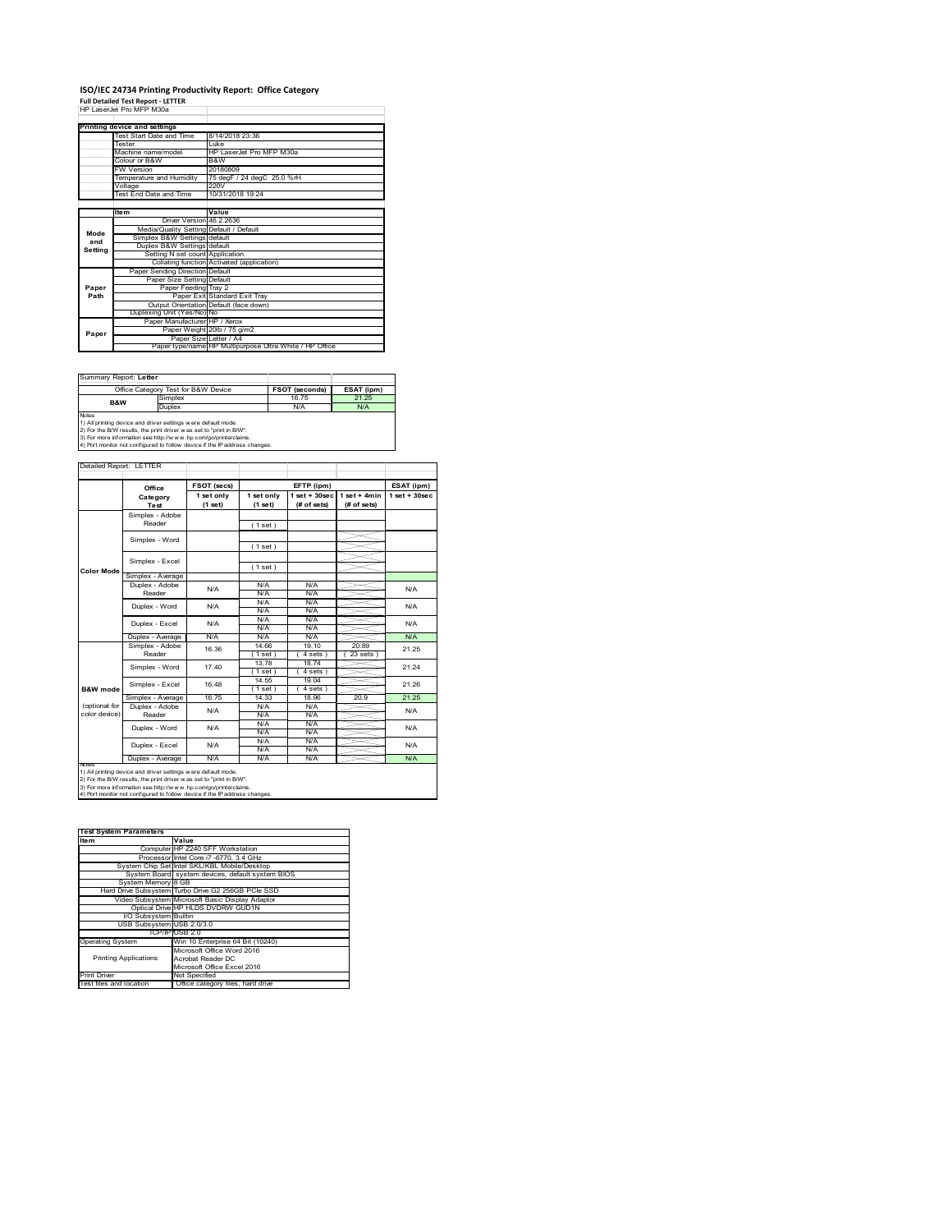## **ISO/IEC 24734 Printing Productivity Report: Office Category Full Detailed Test Report ‐ LETTER** HP LaserJet Pro MFP M30a

|         | Printing device and settings            |                                                         |
|---------|-----------------------------------------|---------------------------------------------------------|
|         | Test Start Date and Time                | 8/14/2018 23:36                                         |
|         | Tester                                  | l uke                                                   |
|         | Machine name/model                      | HP LaserJet Pro MFP M30a                                |
|         | Colour or B&W                           | B&W                                                     |
|         | <b>FW Version</b>                       | 20180809                                                |
|         | Temperature and Humidity                | 75 degF / 24 degC 25.0 %rH                              |
|         | Voltage                                 | 220V                                                    |
|         | Test End Date and Time                  | 10/31/2018 19:24                                        |
|         |                                         |                                                         |
|         | <b>Item</b>                             | Value                                                   |
|         | Driver Version 46.2.2636                |                                                         |
| Mode    | Media/Quality Setting Default / Default |                                                         |
| and     | Simplex B&W Settings default            |                                                         |
| Setting | Duplex B&W Settings default             |                                                         |
|         | Setting N set count Application         |                                                         |
|         |                                         | Collating function Activated (application)              |
|         | Paper Sending Direction Default         |                                                         |
|         | Paper Size Setting Default              |                                                         |
| Paper   | Paper Feeding Tray 2                    |                                                         |
| Path    |                                         | Paper Exit Standard Exit Trav                           |
|         |                                         | Output Orientation Default (face down)                  |
|         | Duplexing Unit (Yes/No) No              |                                                         |
|         | Paper Manufacturer HP / Xerox           |                                                         |
| Paper   |                                         | Paper Weight 20lb / 75 g/m2                             |
|         | Paper Size Letter / A4                  |                                                         |
|         |                                         | Paper type/name HP Multipurpose Ultra White / HP Office |

| Summary Report: Letter                                                     |                                                               |                       |            |  |  |  |
|----------------------------------------------------------------------------|---------------------------------------------------------------|-----------------------|------------|--|--|--|
|                                                                            | Office Category Test for B&W Device                           | <b>FSOT (seconds)</b> | ESAT (ipm) |  |  |  |
| <b>B&amp;W</b>                                                             | Simplex                                                       | 16.75                 | 21 25      |  |  |  |
|                                                                            | Duplex                                                        | N/A                   | N/A        |  |  |  |
| <b>Notes</b>                                                               |                                                               |                       |            |  |  |  |
|                                                                            | 1) All printing device and driver settings were default mode. |                       |            |  |  |  |
| 2) For the B/W results, the print driver was set to "print in B/W".        |                                                               |                       |            |  |  |  |
| 3) For more information see http://www.hp.com/go/printerclaims.            |                                                               |                       |            |  |  |  |
| 4) Port monitor not configured to follow device if the IP address changes. |                                                               |                       |            |  |  |  |

|               | Office            | FSOT (secs)           |                       | EFTP (ipm)                        |                               | ESAT (ipm)        |  |
|---------------|-------------------|-----------------------|-----------------------|-----------------------------------|-------------------------------|-------------------|--|
|               | Category<br>Test  | 1 set only<br>(1 set) | 1 set only<br>(1 set) | $1$ set + $30$ sec<br>(# of sets) | $1$ set + 4min<br>(# of sets) | $1$ set $+30$ sec |  |
|               | Simplex - Adobe   |                       |                       |                                   |                               |                   |  |
|               | Reader            |                       | (1 set)               |                                   |                               |                   |  |
|               |                   |                       |                       |                                   |                               |                   |  |
|               | Simplex - Word    |                       | (1 set)               |                                   |                               |                   |  |
|               |                   |                       |                       |                                   |                               |                   |  |
|               | Simplex - Excel   |                       | (1 set)               |                                   |                               |                   |  |
| Color Mode    | Simplex - Average |                       |                       |                                   |                               |                   |  |
|               | Duplex - Adobe    | N/A                   | N/A                   | N/A                               |                               | N/A               |  |
|               | Reader            |                       | N/A                   | N/A                               |                               |                   |  |
|               | Duplex - Word     | N/A                   | N/A                   | N/A                               |                               | N/A               |  |
|               |                   |                       | N/A                   | N/A                               |                               |                   |  |
|               | Duplex - Excel    | N/A                   | N/A                   | N/A                               |                               | N/A               |  |
|               |                   |                       | N/A                   | N/A                               |                               |                   |  |
|               | Duplex - Average  | N/A                   | N/A                   | N/A                               |                               | <b>N/A</b>        |  |
|               | Simplex - Adobe   | 16.36                 | 14.66                 | 19.10                             | 20.89                         | 21.25             |  |
|               | Reader            |                       | $1$ set               | 4 sets 1                          | 23 sets                       |                   |  |
|               | Simplex - Word    | 17.40                 | 13.78                 | 1874                              |                               | 21.24             |  |
|               |                   |                       | $1$ set)              | 4 sets)                           |                               |                   |  |
|               | Simplex - Excel   | 16 48                 | 14.55                 | 19.04                             |                               | 21.26             |  |
| B&W mode      |                   |                       | (1 set)               | $4 sets$ )                        |                               |                   |  |
|               | Simplex - Average | 16.75                 | 14.33                 | 18.96                             | 20.9                          | 21.25             |  |
| (optional for | Duplex - Adobe    | N/A                   | N/A                   | N/A                               |                               | N/A               |  |
| color device) | Reader            |                       | N/A                   | N/A                               |                               |                   |  |
|               | Duplex - Word     | N/A                   | N/A                   | N/A                               |                               | N/A               |  |
|               |                   |                       | N/A                   | N/A                               |                               |                   |  |
|               | Duplex - Excel    | N/A                   | N/A                   | N/A                               |                               | N/A               |  |
|               |                   |                       | N/A                   | N/A                               |                               |                   |  |
| <b>NOTAS</b>  | Duplex - Average  | N/A                   | N/A                   | N/A                               |                               | N/A               |  |

2) For the B/W results, the print driver w as set to "print in B/W".<br>3) For more information see http://w w w .hp.com/go/printerclaims.<br>4) Port monitor not configured to follow device if the IP address changes.

| <b>Test System Parameters</b> |                                                    |
|-------------------------------|----------------------------------------------------|
| Item                          | Value                                              |
|                               | Computer HP Z240 SFF Workstation                   |
|                               | Processor Intel Core i7 -6770, 3.4 GHz             |
|                               | System Chip Set Intel SKL/KBL Mobile/Desktop       |
|                               | System Board system devices, default system BIOS   |
| System Memory 8 GB            |                                                    |
|                               | Hard Drive Subsystem Turbo Drive G2 256GB PCle SSD |
|                               | Video Subsystem Microsoft Basic Display Adaptor    |
|                               | Optical Drive HP HLDS DVDRW GUD1N                  |
| I/O Subsystem Builtin         |                                                    |
| USB Subsystem USB 2.0/3.0     |                                                    |
|                               | TCP/IPIUSB 2.0                                     |
| <b>Operating System</b>       | Win 10 Enterprise 64 Bit (10240)                   |
|                               | Microsoft Office Word 2016                         |
| <b>Printing Applications</b>  | Acrobat Reader DC                                  |
|                               | Microsoft Office Excel 2016                        |
| <b>Print Driver</b>           | Not Specified                                      |
| Test files and location       | Office category files, hard drive                  |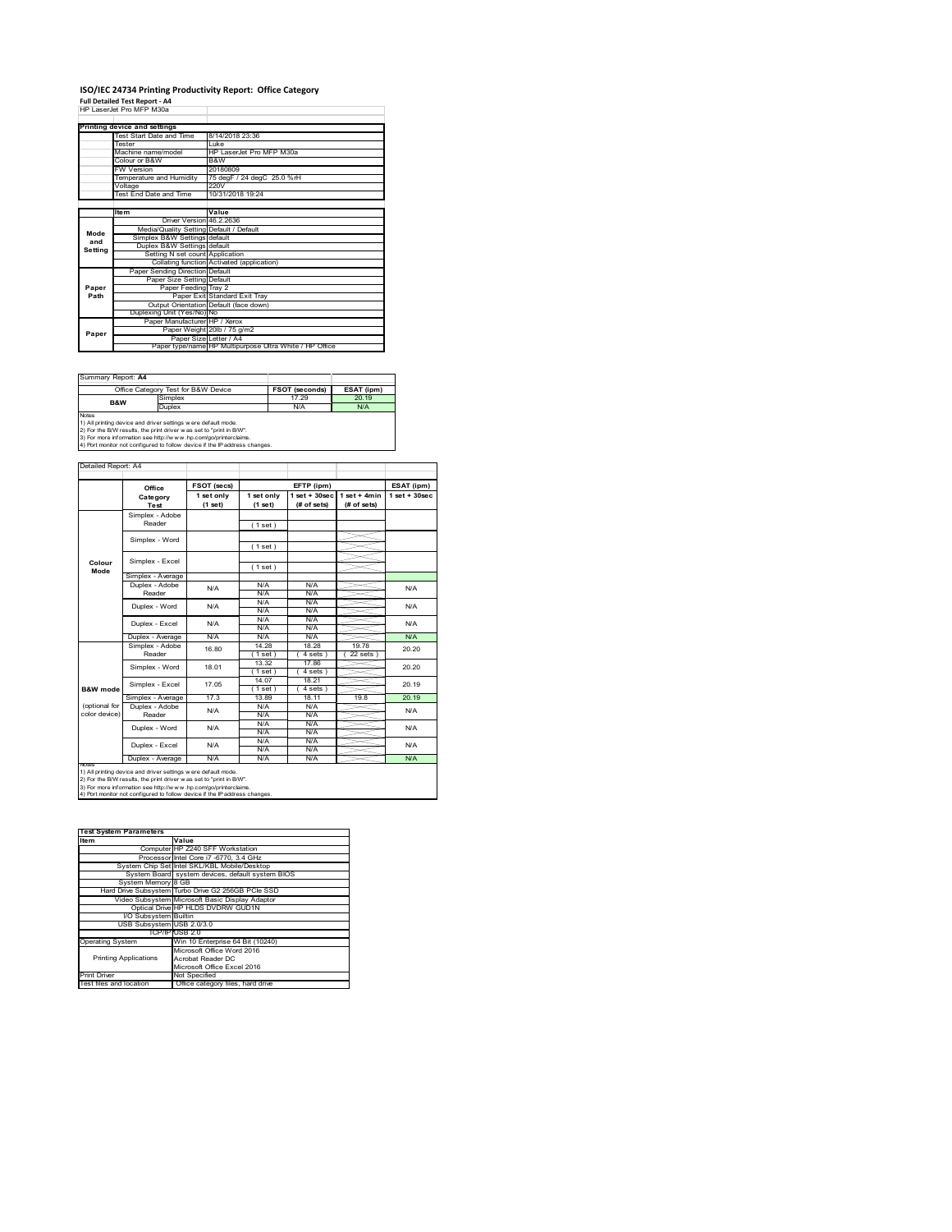# **ISO/IEC 24734 Printing Productivity Report: Office Category<br>Full Detailed Test Report - A4<br>HP LaserJet Pro MFP M30a**

|         | HP Laser et Pro MFP M.S.R               |                                                         |
|---------|-----------------------------------------|---------------------------------------------------------|
|         |                                         |                                                         |
|         | Printing device and settings            |                                                         |
|         | Test Start Date and Time                | 8/14/2018 23:36                                         |
|         | <b>Tester</b>                           | l uke                                                   |
|         | Machine name/model                      | HP LaserJet Pro MFP M30a                                |
|         | Colour or B&W                           | B&W                                                     |
|         | <b>FW Version</b>                       | 20180809                                                |
|         | Temperature and Humidity                | 75 degF / 24 degC 25.0 %rH                              |
|         | Voltage                                 | 220V                                                    |
|         | Test End Date and Time                  | 10/31/2018 19:24                                        |
|         |                                         |                                                         |
|         | <b>Item</b>                             | Value                                                   |
|         | Driver Version 46.2.2636                |                                                         |
| Mode    | Media/Quality Setting Default / Default |                                                         |
| and     | Simplex B&W Settings default            |                                                         |
| Setting | Duplex B&W Settings default             |                                                         |
|         | Setting N set count Application         |                                                         |
|         |                                         | Collating function Activated (application)              |
|         | Paper Sending Direction Default         |                                                         |
|         | Paper Size Setting Default              |                                                         |
| Paper   | Paper Feeding Tray 2                    |                                                         |
| Path    |                                         | Paper Exit Standard Exit Tray                           |
|         |                                         | Output Orientation Default (face down)                  |
|         | Duplexing Unit (Yes/No) No              |                                                         |
|         | Paper Manufacturer HP / Xerox           |                                                         |
| Paper   |                                         | Paper Weight 20lb / 75 g/m2                             |
|         |                                         | Paper Size Letter / A4                                  |
|         |                                         | Paper type/name HP Multipurpose Ultra White / HP Office |

| Summary Report: A4 |                                                                                                                                                                                                                                                                                       |                       |            |  |
|--------------------|---------------------------------------------------------------------------------------------------------------------------------------------------------------------------------------------------------------------------------------------------------------------------------------|-----------------------|------------|--|
|                    | Office Category Test for B&W Device                                                                                                                                                                                                                                                   | <b>FSOT (seconds)</b> | ESAT (ipm) |  |
| B&W                | Simplex                                                                                                                                                                                                                                                                               | 17.29                 | 20.19      |  |
| Duplex             |                                                                                                                                                                                                                                                                                       | N/A                   | N/A        |  |
| <b>Notes</b>       | 1) All printing device and driver settings were default mode.<br>2) For the B/W results, the print driver was set to "print in B/W".<br>3) For more information see http://www.hp.com/go/printerclaims.<br>4) Port monitor not configured to follow device if the IP address changes. |                       |            |  |

|                | Office            | FSOT (secs)           |                       | EFTP (ipm)                        |                               | ESAT (ipm)        |  |
|----------------|-------------------|-----------------------|-----------------------|-----------------------------------|-------------------------------|-------------------|--|
|                | Category<br>Test  | 1 set only<br>(1 set) | 1 set only<br>(1 set) | $1$ set + $30$ sec<br>(# of sets) | $1$ set + 4min<br>(# of sets) | $1$ set $+30$ sec |  |
|                | Simplex - Adobe   |                       |                       |                                   |                               |                   |  |
|                | Reader            |                       | (1 set)               |                                   |                               |                   |  |
|                |                   |                       |                       |                                   |                               |                   |  |
|                | Simplex - Word    |                       | (1 set)               |                                   |                               |                   |  |
|                | Simplex - Excel   |                       |                       |                                   |                               |                   |  |
| Colour<br>Mode |                   |                       | (1 set)               |                                   |                               |                   |  |
|                | Simplex - Average |                       |                       |                                   |                               |                   |  |
|                | Duplex - Adobe    | N/A                   | N/A                   | N/A                               |                               | N/A               |  |
|                | Reader            |                       | N/A                   | N/A                               |                               |                   |  |
|                | Duplex - Word     | N/A                   | N/A                   | N/A                               |                               | N/A               |  |
|                |                   |                       | N/A                   | N/A                               |                               |                   |  |
|                | Duplex - Excel    | N/A                   | N/A                   | N/A                               |                               | N/A               |  |
|                |                   |                       | N/A                   | N/A                               |                               |                   |  |
|                | Duplex - Average  | N/A                   | N/A                   | N/A                               |                               | N/A               |  |
|                | Simplex - Adobe   | 16.80                 | 14.28                 | 18.28                             | 19.78                         | 20.20             |  |
|                | Reader            |                       | (1 set)               | 4 sets )                          | 22 sets                       |                   |  |
|                | Simplex - Word    | 18.01                 | 13.32                 | 17.86                             |                               | 20.20             |  |
|                |                   |                       | (1 set)               | 4 sets)                           |                               |                   |  |
|                | Simplex - Excel   | 17.05                 | 14.07                 | 18.21                             |                               | 20.19             |  |
| B&W mode       |                   |                       | (1 set )              | 4 sets)                           |                               |                   |  |
|                | Simplex - Average | 17.3                  | 13.89                 | 18 11                             | 198                           | 20 19             |  |
| (optional for  | Duplex - Adobe    | N/A                   | N/A                   | N/A                               |                               | <b>N/A</b>        |  |
| color device)  | Reader            |                       | N/A                   | N/A                               |                               |                   |  |
|                | Duplex - Word     | N/A                   | N/A                   | N/A                               |                               | <b>N/A</b>        |  |
|                |                   |                       | N/A                   | N/A                               |                               |                   |  |
|                | Duplex - Excel    | N/A                   | N/A                   | N/A                               |                               | N/A               |  |
|                |                   |                       | N/A                   | N/A                               |                               |                   |  |
| <b>NOTAS</b>   | Duplex - Average  | N/A                   | N/A                   | N/A                               |                               | N/A               |  |

2) For the B/W results, the print driver w as set to "print in B/W".<br>3) For more information see http://w w w .hp.com/go/printerclaims.<br>4) Port monitor not configured to follow device if the IP address changes.

| <b>Test System Parameters</b> |                                                    |
|-------------------------------|----------------------------------------------------|
| Item                          | Value                                              |
|                               | Computer HP Z240 SFF Workstation                   |
|                               | Processor Intel Core i7 -6770, 3.4 GHz             |
|                               | System Chip Set Intel SKL/KBL Mobile/Desktop       |
|                               | System Board system devices, default system BIOS   |
| System Memory 8 GB            |                                                    |
|                               | Hard Drive Subsystem Turbo Drive G2 256GB PCle SSD |
|                               | Video Subsystem Microsoft Basic Display Adaptor    |
|                               | Optical Drive HP HLDS DVDRW GUD1N                  |
| I/O Subsystem Builtin         |                                                    |
| USB Subsystem USB 2.0/3.0     |                                                    |
|                               | TCP/IPIUSB 2.0                                     |
| <b>Operating System</b>       | Win 10 Enterprise 64 Bit (10240)                   |
|                               | Microsoft Office Word 2016                         |
| <b>Printing Applications</b>  | Acrobat Reader DC                                  |
|                               | Microsoft Office Excel 2016                        |
| <b>Print Driver</b>           | Not Specified                                      |
| Test files and location       | Office category files, hard drive                  |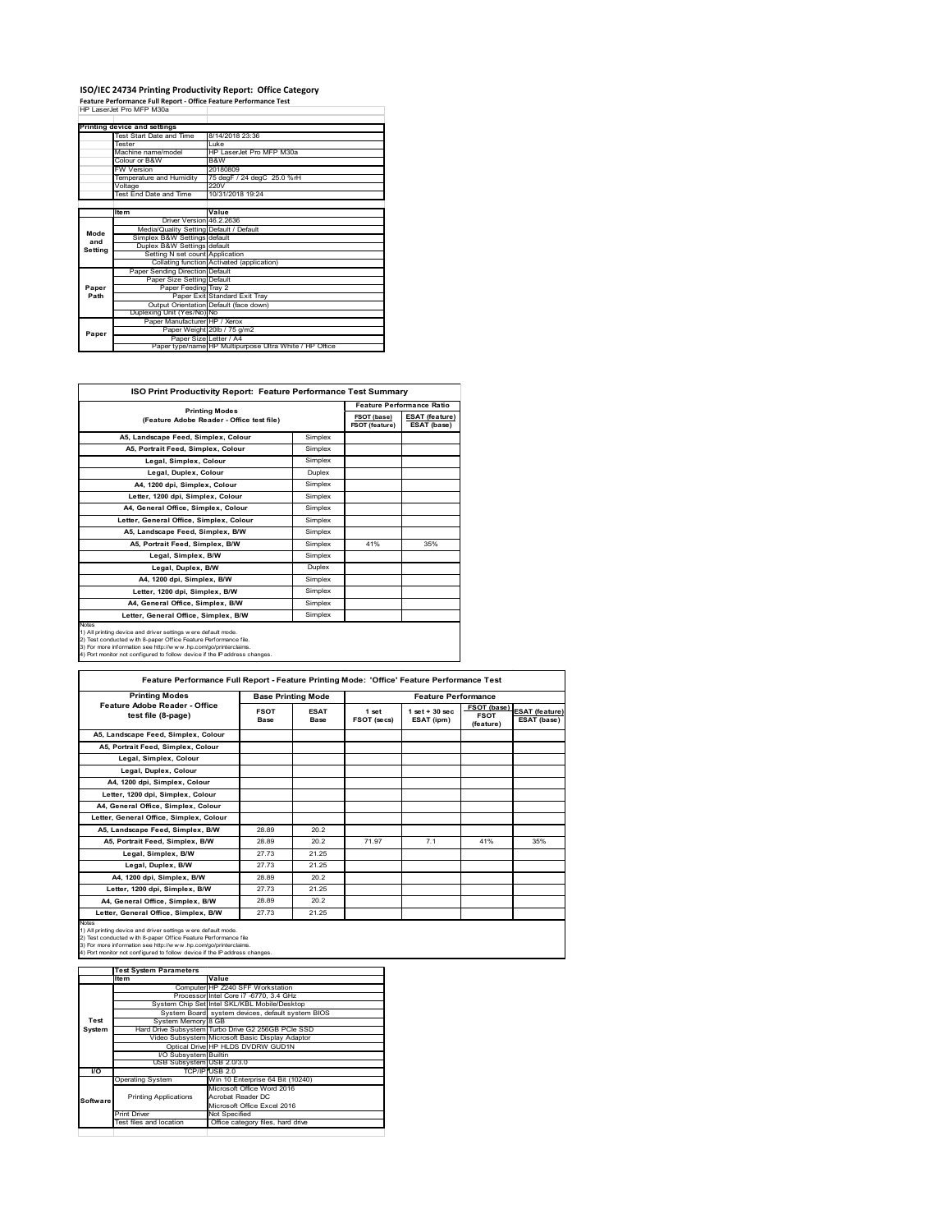## **ISO/IEC 24734 Printing Productivity Report: Office Category Feature Performance Full Report ‐ Office Feature Performance Test** HP LaserJet Pro MFP M30a

|         | Printing device and settings            |                                                         |
|---------|-----------------------------------------|---------------------------------------------------------|
|         | Test Start Date and Time                | 8/14/2018 23:36                                         |
|         | <b>Tester</b>                           | l uke                                                   |
|         | Machine name/model                      | HP LaserJet Pro MFP M30a                                |
|         | Colour or B&W                           | B&W                                                     |
|         | <b>FW Version</b>                       | 20180809                                                |
|         | Temperature and Humidity                | 75 degF / 24 degC 25.0 %rH                              |
|         | Voltage                                 | 220V                                                    |
|         | Test End Date and Time                  | 10/31/2018 19:24                                        |
|         |                                         |                                                         |
|         | <b>Item</b>                             | Value                                                   |
|         | Driver Version 46.2.2636                |                                                         |
| Mode    | Media/Quality Setting Default / Default |                                                         |
| and     | Simplex B&W Settings default            |                                                         |
| Setting | Duplex B&W Settings default             |                                                         |
|         | Setting N set count Application         |                                                         |
|         |                                         | Collating function Activated (application)              |
|         | Paper Sending Direction Default         |                                                         |
|         | Paper Size Setting Default              |                                                         |
| Paper   | Paper Feeding Tray 2                    |                                                         |
| Path    |                                         | Paper Exit Standard Exit Tray                           |
|         |                                         | Output Orientation Default (face down)                  |
|         | Duplexing Unit (Yes/No) No              |                                                         |
|         | Paper Manufacturer HP / Xerox           |                                                         |
| Paper   |                                         | Paper Weight 20lb / 75 g/m2                             |
|         | Paper Size Letter / A4                  |                                                         |
|         |                                         | Paper type/name HP Multipurpose Ultra White / HP Office |

| ISO Print Productivity Report: Feature Performance Test Summary                                                                                                                                                                                                                                   |                                                                    |     |                                      |  |  |  |
|---------------------------------------------------------------------------------------------------------------------------------------------------------------------------------------------------------------------------------------------------------------------------------------------------|--------------------------------------------------------------------|-----|--------------------------------------|--|--|--|
|                                                                                                                                                                                                                                                                                                   | <b>Printing Modes</b><br>(Feature Adobe Reader - Office test file) |     | <b>Feature Performance Ratio</b>     |  |  |  |
|                                                                                                                                                                                                                                                                                                   |                                                                    |     | <b>ESAT</b> (feature)<br>ESAT (base) |  |  |  |
| A5, Landscape Feed, Simplex, Colour                                                                                                                                                                                                                                                               | Simplex                                                            |     |                                      |  |  |  |
| A5, Portrait Feed, Simplex, Colour                                                                                                                                                                                                                                                                | Simplex                                                            |     |                                      |  |  |  |
| Legal, Simplex, Colour                                                                                                                                                                                                                                                                            | Simplex                                                            |     |                                      |  |  |  |
| Legal, Duplex, Colour                                                                                                                                                                                                                                                                             | Duplex                                                             |     |                                      |  |  |  |
| A4. 1200 dpi. Simplex. Colour                                                                                                                                                                                                                                                                     | Simplex                                                            |     |                                      |  |  |  |
| Letter, 1200 dpi, Simplex, Colour                                                                                                                                                                                                                                                                 | Simplex                                                            |     |                                      |  |  |  |
| A4. General Office. Simplex. Colour                                                                                                                                                                                                                                                               | Simplex                                                            |     |                                      |  |  |  |
| Letter, General Office, Simplex, Colour                                                                                                                                                                                                                                                           | Simplex                                                            |     |                                      |  |  |  |
| A5. Landscape Feed. Simplex, B/W                                                                                                                                                                                                                                                                  | Simplex                                                            |     |                                      |  |  |  |
| A5, Portrait Feed, Simplex, B/W                                                                                                                                                                                                                                                                   | Simplex                                                            | 41% | 35%                                  |  |  |  |
| Legal, Simplex, B/W                                                                                                                                                                                                                                                                               | Simplex                                                            |     |                                      |  |  |  |
| Legal, Duplex, B/W                                                                                                                                                                                                                                                                                | Duplex                                                             |     |                                      |  |  |  |
| A4, 1200 dpi, Simplex, B/W                                                                                                                                                                                                                                                                        | Simplex                                                            |     |                                      |  |  |  |
| Letter, 1200 dpi, Simplex, B/W                                                                                                                                                                                                                                                                    | Simplex                                                            |     |                                      |  |  |  |
| A4, General Office, Simplex, B/W                                                                                                                                                                                                                                                                  | Simplex                                                            |     |                                      |  |  |  |
| Letter, General Office, Simplex, B/W                                                                                                                                                                                                                                                              | Simplex                                                            |     |                                      |  |  |  |
| <b>Notes</b><br>1) All printing device and driver settings were default mode.<br>2) Test conducted with 8-paper Office Feature Performance file.<br>3) For more information see http://www.hp.com/go/printerclaims.<br>4) Port monitor not configured to follow device if the IP address changes. |                                                                    |     |                                      |  |  |  |

| <b>Printing Modes</b>                               | <b>Base Printing Mode</b> |                     | <b>Feature Performance</b> |                                 |                                         |                               |
|-----------------------------------------------------|---------------------------|---------------------|----------------------------|---------------------------------|-----------------------------------------|-------------------------------|
| Feature Adobe Reader - Office<br>test file (8-page) | <b>FSOT</b><br>Base       | <b>ESAT</b><br>Base | 1 set<br>FSOT (secs)       | $1$ set $+30$ sec<br>ESAT (ipm) | FSOT (base)<br><b>FSOT</b><br>(feature) | ESAT (feature)<br>ESAT (base) |
| A5. Landscape Feed. Simplex. Colour                 |                           |                     |                            |                                 |                                         |                               |
| A5, Portrait Feed, Simplex, Colour                  |                           |                     |                            |                                 |                                         |                               |
| Legal, Simplex, Colour                              |                           |                     |                            |                                 |                                         |                               |
| Legal, Duplex, Colour                               |                           |                     |                            |                                 |                                         |                               |
| A4. 1200 dpi. Simplex. Colour                       |                           |                     |                            |                                 |                                         |                               |
| Letter, 1200 dpi, Simplex, Colour                   |                           |                     |                            |                                 |                                         |                               |
| A4, General Office, Simplex, Colour                 |                           |                     |                            |                                 |                                         |                               |
| Letter, General Office, Simplex, Colour             |                           |                     |                            |                                 |                                         |                               |
| A5, Landscape Feed, Simplex, B/W                    | 28.89                     | 20.2                |                            |                                 |                                         |                               |
| A5, Portrait Feed, Simplex, B/W                     | 28.89                     | 20.2                | 71.97                      | 7.1                             | 41%                                     | 35%                           |
| Legal, Simplex, B/W                                 | 27.73                     | 21.25               |                            |                                 |                                         |                               |
| Legal, Duplex, B/W                                  | 27.73                     | 21.25               |                            |                                 |                                         |                               |
| A4. 1200 dpi. Simplex. B/W                          | 28.89                     | 20.2                |                            |                                 |                                         |                               |
| Letter, 1200 dpi, Simplex, B/W                      | 27.73                     | 21.25               |                            |                                 |                                         |                               |
| A4. General Office. Simplex. B/W                    | 28.89                     | 20.2                |                            |                                 |                                         |                               |
| Letter, General Office, Simplex, B/W                | 27.73                     | 21.25               |                            |                                 |                                         |                               |

1) All printing device and driver settings were default mode.<br>2) Test conducted with 8-paper Office Feature Performance file<br>3) For more information see http://www.hp.com/go/printerclaims.<br>4) Port monitor not configured to

|           | <b>Test System Parameters</b> |                                                    |
|-----------|-------------------------------|----------------------------------------------------|
|           | Item                          | Value                                              |
|           |                               | Computer HP Z240 SFF Workstation                   |
|           |                               | Processor Intel Core i7 -6770, 3.4 GHz             |
|           |                               | System Chip Set Intel SKL/KBL Mobile/Desktop       |
|           |                               | System Board system devices, default system BIOS   |
| Test      | System Memory 8 GB            |                                                    |
| System    |                               | Hard Drive Subsystem Turbo Drive G2 256GB PCle SSD |
|           |                               | Video Subsystem Microsoft Basic Display Adaptor    |
|           |                               | Optical Drive HP HLDS DVDRW GUD1N                  |
|           | <b>VO Subsystem Builtin</b>   |                                                    |
|           | USB Subsystem USB 2.0/3.0     |                                                    |
| <b>VO</b> |                               | TCP/IP USB 2.0                                     |
|           | <b>Operating System</b>       | Win 10 Enterprise 64 Bit (10240)                   |
|           |                               | Microsoft Office Word 2016                         |
| Software  | <b>Printing Applications</b>  | Acrobat Reader DC                                  |
|           |                               | Microsoft Office Excel 2016                        |
|           | <b>Print Driver</b>           | Not Specified                                      |
|           | Test files and location       | Office category files, hard drive                  |
|           |                               |                                                    |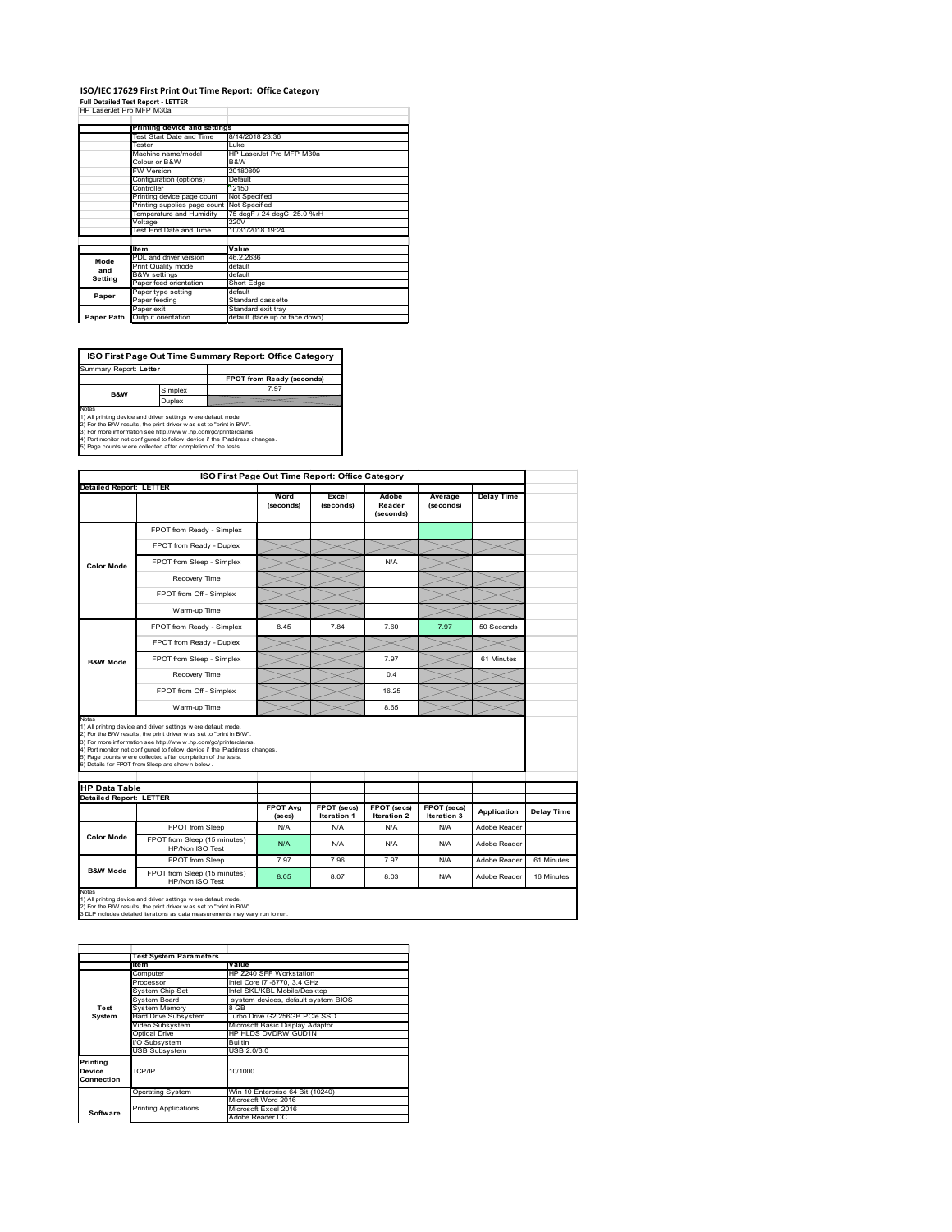## **ISO/IEC 17629 First Print Out Time Report: Office Category**

| <b>Full Detailed Test Report - LETTER</b> |
|-------------------------------------------|
| HP LaserJet Pro MFP M30a                  |

|            | Printing device and settings |                                |  |  |
|------------|------------------------------|--------------------------------|--|--|
|            | Test Start Date and Time     | 8/14/2018 23:36                |  |  |
|            | Tester                       | Luke                           |  |  |
|            | Machine name/model           | HP LaserJet Pro MFP M30a       |  |  |
|            | Colour or B&W                | B&W                            |  |  |
|            | <b>FW Version</b>            | 20180809                       |  |  |
|            | Configuration (options)      | Default                        |  |  |
|            | Controller                   | 12150                          |  |  |
|            | Printing device page count   | Not Specified                  |  |  |
|            | Printing supplies page count | Not Specified                  |  |  |
|            | Temperature and Humidity     | 75 degF / 24 degC 25.0 %rH     |  |  |
|            | Voltage                      | 220V                           |  |  |
|            | Test End Date and Time       | 10/31/2018 19:24               |  |  |
|            |                              |                                |  |  |
|            | <b>Item</b>                  | Value                          |  |  |
| Mode       | PDL and driver version       | 46.2.2636                      |  |  |
| and        | Print Quality mode           | default                        |  |  |
| Setting    | <b>B&amp;W</b> settings      | default                        |  |  |
|            | Paper feed orientation       | Short Edge                     |  |  |
| Paper      | Paper type setting           | default                        |  |  |
|            | Paper feeding                | Standard cassette              |  |  |
|            | Paper exit                   | Standard exit tray             |  |  |
| Paper Path | Output orientation           | default (face up or face down) |  |  |

**FPOT from Ready (seconds)**<br>
Simplex 7.97 **Duplex**<br>Notes<br>1) All printing device and driver settings were default mode.<br>2) For the BM results, the print driver was set to "print in BM".<br>4) For more information see http://www.hp.com/golprinterclaims.<br>4) Port monitor **ISO First Page Out Time Summary Report: Office Category** Summary Report: **Letter B&W**

|                                                                             |                                                                                                                                                                                                                                                                                                                                                                                                             | ISO First Page Out Time Report: Office Category |                                   |                                   |                            |                   |            |
|-----------------------------------------------------------------------------|-------------------------------------------------------------------------------------------------------------------------------------------------------------------------------------------------------------------------------------------------------------------------------------------------------------------------------------------------------------------------------------------------------------|-------------------------------------------------|-----------------------------------|-----------------------------------|----------------------------|-------------------|------------|
| <b>Detailed Report: LETTER</b>                                              |                                                                                                                                                                                                                                                                                                                                                                                                             |                                                 |                                   |                                   |                            |                   |            |
|                                                                             |                                                                                                                                                                                                                                                                                                                                                                                                             | Word<br>(seconds)                               | Excel<br>(seconds)                | Adobe<br>Reader<br>(seconds)      | Average<br>(seconds)       | <b>Delay Time</b> |            |
|                                                                             | FPOT from Ready - Simplex                                                                                                                                                                                                                                                                                                                                                                                   |                                                 |                                   |                                   |                            |                   |            |
|                                                                             | FPOT from Ready - Duplex                                                                                                                                                                                                                                                                                                                                                                                    |                                                 |                                   |                                   |                            |                   |            |
| <b>Color Mode</b>                                                           | FPOT from Sleep - Simplex                                                                                                                                                                                                                                                                                                                                                                                   |                                                 |                                   | N/A                               |                            |                   |            |
|                                                                             | Recovery Time                                                                                                                                                                                                                                                                                                                                                                                               |                                                 |                                   |                                   |                            |                   |            |
|                                                                             | FPOT from Off - Simplex                                                                                                                                                                                                                                                                                                                                                                                     |                                                 |                                   |                                   |                            |                   |            |
|                                                                             | Warm-up Time                                                                                                                                                                                                                                                                                                                                                                                                |                                                 |                                   |                                   |                            |                   |            |
|                                                                             | FPOT from Ready - Simplex                                                                                                                                                                                                                                                                                                                                                                                   | 8.45                                            | 7.84                              | 7.60                              | 7.97                       | 50 Seconds        |            |
|                                                                             | FPOT from Ready - Duplex                                                                                                                                                                                                                                                                                                                                                                                    |                                                 |                                   |                                   |                            |                   |            |
| <b>B&amp;W Mode</b>                                                         | FPOT from Sleep - Simplex                                                                                                                                                                                                                                                                                                                                                                                   |                                                 |                                   | 7.97                              |                            | 61 Minutes        |            |
|                                                                             | Recovery Time                                                                                                                                                                                                                                                                                                                                                                                               |                                                 |                                   | 0.4                               |                            |                   |            |
|                                                                             |                                                                                                                                                                                                                                                                                                                                                                                                             |                                                 |                                   |                                   |                            |                   |            |
|                                                                             | FPOT from Off - Simplex                                                                                                                                                                                                                                                                                                                                                                                     |                                                 |                                   | 16 25                             |                            |                   |            |
| Notes                                                                       | Warm-up Time                                                                                                                                                                                                                                                                                                                                                                                                |                                                 |                                   | 8.65                              |                            |                   |            |
|                                                                             | 1) All printing device and driver settings w ere default mode.<br>2) For the B/W results, the print driver was set to "print in B/W".<br>3) For more information see http://www.hp.com/go/printerclaims.<br>4) Port monitor not configured to follow device if the IP address changes.<br>5) Page counts w ere collected after completion of the tests.<br>6) Details for FPOT from Sleep are show n below. |                                                 |                                   |                                   |                            |                   |            |
|                                                                             |                                                                                                                                                                                                                                                                                                                                                                                                             |                                                 |                                   |                                   |                            |                   |            |
|                                                                             |                                                                                                                                                                                                                                                                                                                                                                                                             | <b>FPOT Avg</b><br>(se cs)                      | FPOT (secs)<br><b>Iteration 1</b> | FPOT (secs)<br><b>Iteration 2</b> | FPOT (secs)<br>Iteration 3 | Application       | Delay Time |
|                                                                             | FPOT from Sleep                                                                                                                                                                                                                                                                                                                                                                                             | N/A                                             | N/A                               | N/A                               | N/A                        | Adobe Reader      |            |
| <b>HP Data Table</b><br><b>Detailed Report: LETTER</b><br><b>Color Mode</b> | FPOT from Sleep (15 minutes)<br>HP/Non ISO Test                                                                                                                                                                                                                                                                                                                                                             | N/A                                             | N/A                               | N/A                               | N/A                        | Adobe Reader      |            |
| <b>B&amp;W Mode</b>                                                         | FPOT from Sleep                                                                                                                                                                                                                                                                                                                                                                                             | 7.97                                            | 7.96                              | 7.97                              | N/A                        | Adobe Reader      | 61 Minutes |

|                                  | <b>Test System Parameters</b> |                                     |  |  |  |
|----------------------------------|-------------------------------|-------------------------------------|--|--|--|
|                                  | ltem                          | Value                               |  |  |  |
|                                  | Computer                      | HP Z240 SFF Workstation             |  |  |  |
|                                  | Processor                     | Intel Core i7 -6770, 3.4 GHz        |  |  |  |
|                                  | System Chip Set               | Intel SKL/KBL Mobile/Desktop        |  |  |  |
|                                  | System Board                  | system devices, default system BIOS |  |  |  |
| Test                             | <b>System Memory</b>          | 8 GB                                |  |  |  |
| System                           | Hard Drive Subsystem          | Turbo Drive G2 256GB PCle SSD       |  |  |  |
|                                  | Video Subsystem               | Microsoft Basic Display Adaptor     |  |  |  |
|                                  | Optical Drive                 | HP HLDS DVDRW GUD1N                 |  |  |  |
|                                  | I/O Subsystem                 | Builtin                             |  |  |  |
|                                  | <b>USB Subsystem</b>          | USB 2.0/3.0                         |  |  |  |
| Printing<br>Device<br>Connection | TCP/IP                        | 10/1000                             |  |  |  |
|                                  | <b>Operating System</b>       | Win 10 Enterprise 64 Bit (10240)    |  |  |  |
|                                  |                               | Microsoft Word 2016                 |  |  |  |
| Software                         | <b>Printing Applications</b>  | Microsoft Excel 2016                |  |  |  |
|                                  |                               | Adobe Reader DC                     |  |  |  |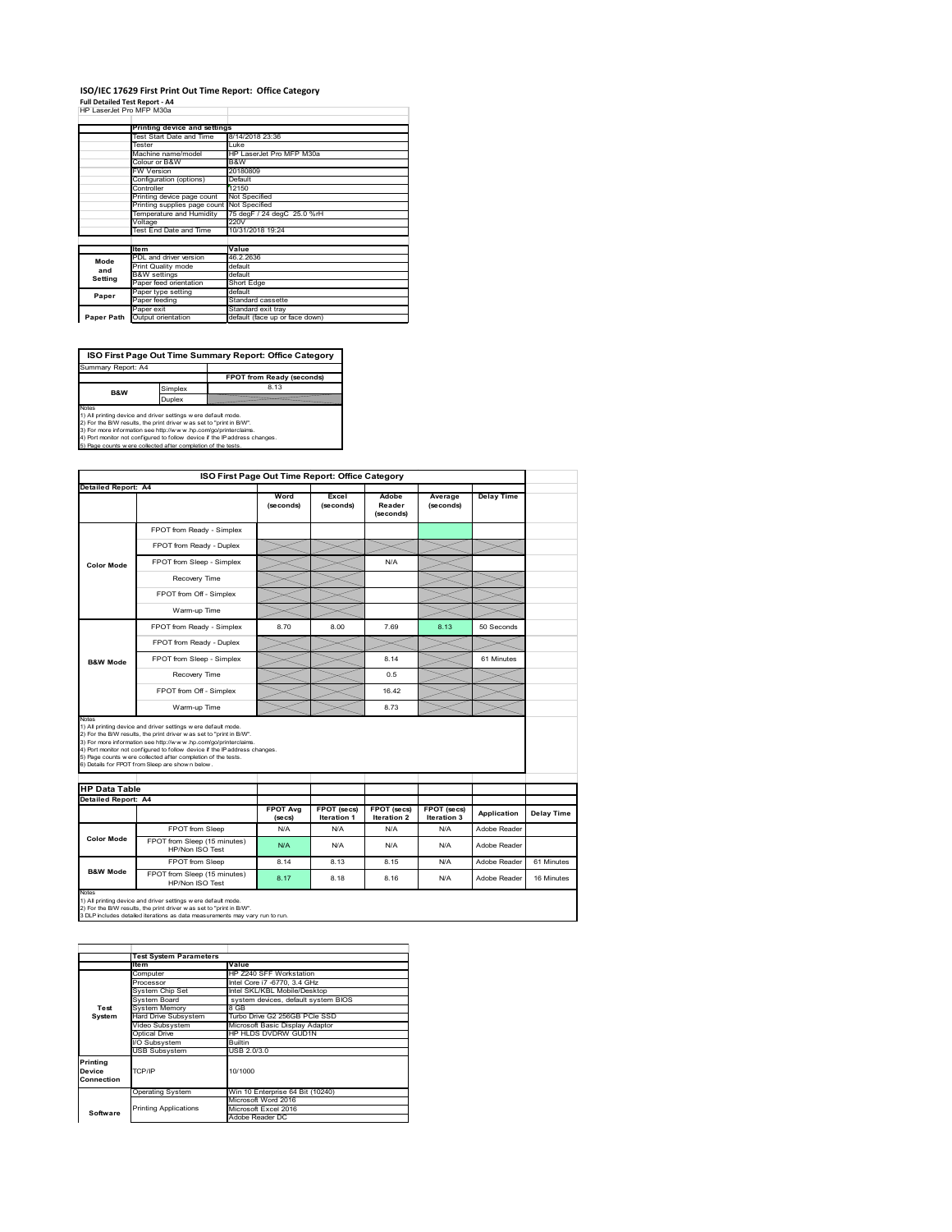#### **ISO/IEC 17629 First Print Out Time Report: Office Category Full Detailed Test Report ‐ A4**

|  | HP LaserJet Pro MFP M30a |  |  |
|--|--------------------------|--|--|

|            | Printing device and settings |                                |  |  |
|------------|------------------------------|--------------------------------|--|--|
|            |                              |                                |  |  |
|            | Test Start Date and Time     | 8/14/2018 23:36                |  |  |
|            | Tester                       | Luke                           |  |  |
|            | Machine name/model           | HP LaserJet Pro MFP M30a       |  |  |
|            | Colour or B&W                | B&W                            |  |  |
|            | <b>FW Version</b>            | 20180809                       |  |  |
|            | Configuration (options)      | Default                        |  |  |
|            | Controller                   | 12150                          |  |  |
|            | Printing device page count   | Not Specified                  |  |  |
|            | Printing supplies page count | Not Specified                  |  |  |
|            | Temperature and Humidity     | 75 degF / 24 degC 25.0 %rH     |  |  |
|            | Voltage                      | 220V                           |  |  |
|            | Test End Date and Time       | 10/31/2018 19:24               |  |  |
|            |                              |                                |  |  |
|            | <b>Item</b>                  | Value                          |  |  |
| Mode       | PDL and driver version       | 46.2.2636                      |  |  |
| and        | Print Quality mode           | default                        |  |  |
| Setting    | <b>B&amp;W</b> settings      | default                        |  |  |
|            | Paper feed orientation       | Short Edge                     |  |  |
| Paper      | Paper type setting           | default                        |  |  |
|            | Paper feeding                | Standard cassette              |  |  |
|            | Paper exit                   | Standard exit tray             |  |  |
| Paper Path | Output orientation           | default (face up or face down) |  |  |

**ISO First Page Out Time Summary Report: Office Category**

**FPOT from Ready (seconds)** Simplex 8.13 Duplex Notes<br>1) All printing device and driver settings were default mode.<br>2) For the BAV results, the print driver was set to "print in BAV".<br>3) For more information see http://www.hp.com/golprinterclaims.<br>4) Port monitor not co Summary Report: A4 **B&W**

|                                                      |                                                                                                                                                                                                                                                                                                                                                                                                             | ISO First Page Out Time Report: Office Category |                                   |                                          |                            |                   |            |
|------------------------------------------------------|-------------------------------------------------------------------------------------------------------------------------------------------------------------------------------------------------------------------------------------------------------------------------------------------------------------------------------------------------------------------------------------------------------------|-------------------------------------------------|-----------------------------------|------------------------------------------|----------------------------|-------------------|------------|
| Detailed Report: A4                                  |                                                                                                                                                                                                                                                                                                                                                                                                             | Word<br>(seconds)                               | Excel<br>(seconds)                | Adobe<br>Reader<br>(seconds)             | Average<br>(seconds)       | <b>Delay Time</b> |            |
|                                                      | FPOT from Ready - Simplex                                                                                                                                                                                                                                                                                                                                                                                   |                                                 |                                   |                                          |                            |                   |            |
|                                                      | FPOT from Ready - Duplex                                                                                                                                                                                                                                                                                                                                                                                    |                                                 |                                   |                                          |                            |                   |            |
| <b>Color Mode</b>                                    | FPOT from Sleep - Simplex                                                                                                                                                                                                                                                                                                                                                                                   |                                                 |                                   | N/A                                      |                            |                   |            |
|                                                      | Recovery Time                                                                                                                                                                                                                                                                                                                                                                                               |                                                 |                                   |                                          |                            |                   |            |
|                                                      | FPOT from Off - Simplex                                                                                                                                                                                                                                                                                                                                                                                     |                                                 |                                   |                                          |                            |                   |            |
|                                                      | Warm-up Time                                                                                                                                                                                                                                                                                                                                                                                                |                                                 |                                   |                                          |                            |                   |            |
|                                                      | FPOT from Ready - Simplex                                                                                                                                                                                                                                                                                                                                                                                   | 8.70                                            | 8.00                              | 7.69                                     | 8.13                       | 50 Seconds        |            |
|                                                      | FPOT from Ready - Duplex                                                                                                                                                                                                                                                                                                                                                                                    |                                                 |                                   |                                          |                            |                   |            |
| <b>B&amp;W Mode</b>                                  | FPOT from Sleep - Simplex                                                                                                                                                                                                                                                                                                                                                                                   |                                                 |                                   | 8.14                                     |                            | 61 Minutes        |            |
|                                                      | Recovery Time                                                                                                                                                                                                                                                                                                                                                                                               |                                                 |                                   | 0.5                                      |                            |                   |            |
|                                                      |                                                                                                                                                                                                                                                                                                                                                                                                             |                                                 |                                   |                                          |                            |                   |            |
|                                                      | FPOT from Off - Simplex                                                                                                                                                                                                                                                                                                                                                                                     |                                                 |                                   | 16.42                                    |                            |                   |            |
|                                                      | Warm-up Time                                                                                                                                                                                                                                                                                                                                                                                                |                                                 |                                   | 8.73                                     |                            |                   |            |
| Notes<br><b>HP Data Table</b><br>Detailed Report: A4 | 1) All printing device and driver settings w ere default mode.<br>2) For the B/W results, the print driver was set to "print in B/W".<br>3) For more information see http://www.hp.com/go/printerclaims.<br>4) Port monitor not configured to follow device if the IP address changes.<br>5) Page counts w ere collected after completion of the tests.<br>6) Details for FPOT from Sleep are show n below. |                                                 |                                   |                                          |                            |                   |            |
|                                                      |                                                                                                                                                                                                                                                                                                                                                                                                             | <b>FPOT Avg</b><br>(se cs)                      | FPOT (secs)<br><b>Iteration 1</b> | <b>FPOT (secs)</b><br><b>Iteration 2</b> | FPOT (secs)<br>Iteration 3 | Application       | Delay Time |
|                                                      | FPOT from Sleep                                                                                                                                                                                                                                                                                                                                                                                             | N/A                                             | N/A                               | N/A                                      | N/A                        | Adobe Reader      |            |
| <b>Color Mode</b>                                    | FPOT from Sleep (15 minutes)<br>HP/Non ISO Test                                                                                                                                                                                                                                                                                                                                                             | N/A                                             | N/A                               | N/A                                      | N/A                        | Adobe Reader      |            |
| <b>B&amp;W Mode</b>                                  | FPOT from Sleep                                                                                                                                                                                                                                                                                                                                                                                             | 8.14                                            | 8.13                              | 8.15                                     | N/A                        | Adobe Reader      | 61 Minutes |

1) All printing device and driver settings w ere default mode.<br>2) For the B/W results, the print driver w as set to "print in B/W".<br>3 DLP includes detailed iterations as data measurements may vary run to run.

|            | <b>Test System Parameters</b> |                                     |  |  |  |  |
|------------|-------------------------------|-------------------------------------|--|--|--|--|
|            | Item                          | Value                               |  |  |  |  |
|            | Computer                      | HP Z240 SFF Workstation             |  |  |  |  |
|            | Processor                     | Intel Core i7 -6770, 3.4 GHz        |  |  |  |  |
|            | System Chip Set               | Intel SKL/KBL Mobile/Desktop        |  |  |  |  |
|            | System Board                  | system devices, default system BIOS |  |  |  |  |
| Test       | <b>System Memory</b>          | 8 GB                                |  |  |  |  |
| System     | Hard Drive Subsystem          | Turbo Drive G2 256GB PCle SSD       |  |  |  |  |
|            | Video Subsystem               | Microsoft Basic Display Adaptor     |  |  |  |  |
|            | Optical Drive                 | HP HLDS DVDRW GUD1N                 |  |  |  |  |
|            | I/O Subsystem                 | <b>Builtin</b>                      |  |  |  |  |
|            | <b>USB Subsystem</b>          | USB 2.0/3.0                         |  |  |  |  |
| Printing   |                               |                                     |  |  |  |  |
| Device     | TCP/IP                        | 10/1000                             |  |  |  |  |
| Connection |                               |                                     |  |  |  |  |
|            |                               |                                     |  |  |  |  |
|            | <b>Operating System</b>       | Win 10 Enterprise 64 Bit (10240)    |  |  |  |  |
|            |                               | Microsoft Word 2016                 |  |  |  |  |
| Software   | <b>Printing Applications</b>  | Microsoft Excel 2016                |  |  |  |  |
|            |                               | Adobe Reader DC                     |  |  |  |  |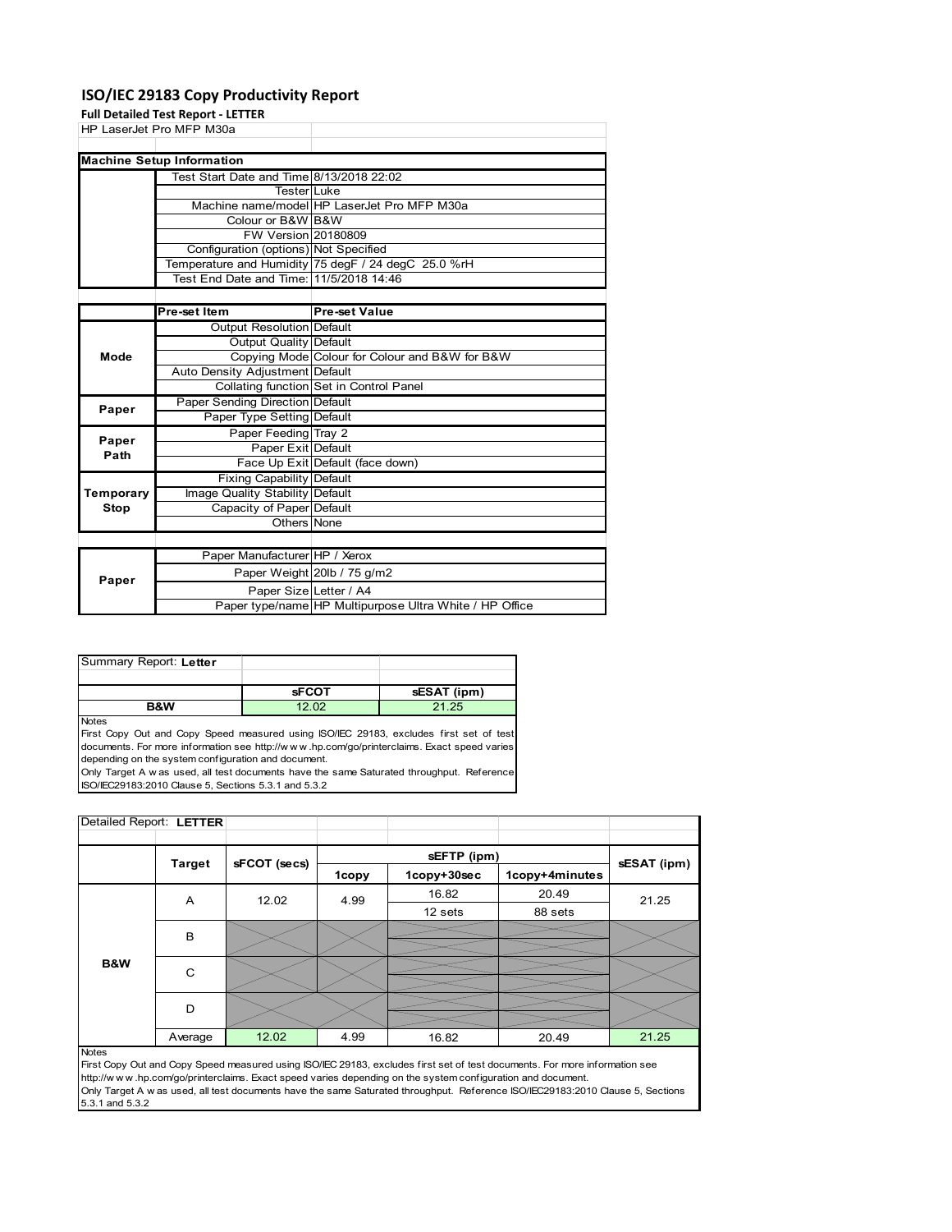### **ISO/IEC 29183 Copy Productivity Report**

**Full Detailed Test Report ‐ LETTER**

|             | run betaneu Test Report - LLTTLR                    |                                                     |  |  |  |  |
|-------------|-----------------------------------------------------|-----------------------------------------------------|--|--|--|--|
|             | HP LaserJet Pro MFP M30a                            |                                                     |  |  |  |  |
|             |                                                     |                                                     |  |  |  |  |
|             | <b>Machine Setup Information</b>                    |                                                     |  |  |  |  |
|             | Test Start Date and Time 8/13/2018 22:02            |                                                     |  |  |  |  |
|             | TesterLLuke                                         |                                                     |  |  |  |  |
|             |                                                     | Machine name/model HP LaserJet Pro MFP M30a         |  |  |  |  |
|             | Colour or B&W B&W                                   |                                                     |  |  |  |  |
|             | <b>FW Version 20180809</b>                          |                                                     |  |  |  |  |
|             | Configuration (options) Not Specified               |                                                     |  |  |  |  |
|             |                                                     | Temperature and Humidity 75 degF / 24 degC 25.0 %rH |  |  |  |  |
|             | Test End Date and Time: 11/5/2018 14:46             |                                                     |  |  |  |  |
|             |                                                     |                                                     |  |  |  |  |
|             | Pre-set Item                                        | <b>Pre-set Value</b>                                |  |  |  |  |
|             | <b>Output Resolution Default</b>                    |                                                     |  |  |  |  |
|             | Output Quality Default                              |                                                     |  |  |  |  |
| Mode        |                                                     | Copying Mode Colour for Colour and B&W for B&W      |  |  |  |  |
|             | Auto Density Adjustment Default                     |                                                     |  |  |  |  |
|             |                                                     | Collating function Set in Control Panel             |  |  |  |  |
| Paper       | Paper Sending Direction Default                     |                                                     |  |  |  |  |
|             | Paper Type Setting Default                          |                                                     |  |  |  |  |
| Paper       | Paper Feeding Tray 2                                |                                                     |  |  |  |  |
| Path        | Paper Exit Default                                  |                                                     |  |  |  |  |
|             |                                                     | Face Up Exit Default (face down)                    |  |  |  |  |
|             | <b>Fixing Capability Default</b>                    |                                                     |  |  |  |  |
| Temporary   |                                                     |                                                     |  |  |  |  |
|             | Image Quality Stability Default                     |                                                     |  |  |  |  |
| <b>Stop</b> | Capacity of Paper Default<br>$Q_{\text{the sum}}$ M |                                                     |  |  |  |  |

|       | Others None                   |                                                         |
|-------|-------------------------------|---------------------------------------------------------|
|       |                               |                                                         |
|       | Paper Manufacturer HP / Xerox |                                                         |
| Paper |                               | Paper Weight 20lb / 75 g/m2                             |
|       | Paper Size Letter / A4        |                                                         |
|       |                               | Paper type/name HP Multipurpose Ultra White / HP Office |

| Summary Report: Letter |              |             |
|------------------------|--------------|-------------|
|                        |              |             |
|                        | <b>SFCOT</b> | sESAT (ipm) |
| <b>B&amp;W</b>         |              | 21 25       |

Notes

First Copy Out and Copy Speed measured using ISO/IEC 29183, excludes first set of test documents. For more information see http://w w w .hp.com/go/printerclaims. Exact speed varies depending on the system configuration and document.

Only Target A w as used, all test documents have the same Saturated throughput. Reference ISO/IEC29183:2010 Clause 5, Sections 5.3.1 and 5.3.2

| Detailed Report: LETTER |               |              |              |             |                |             |
|-------------------------|---------------|--------------|--------------|-------------|----------------|-------------|
|                         |               |              |              |             |                |             |
|                         | <b>Target</b> | sFCOT (secs) |              | sEFTP (ipm) |                | sESAT (ipm) |
|                         |               |              | <b>1copy</b> | 1copy+30sec | 1copy+4minutes |             |
|                         | A             | 12.02        | 4.99         | 16.82       | 20.49          | 21.25       |
|                         |               |              |              | 12 sets     | 88 sets        |             |
|                         | B             |              |              |             |                |             |
|                         |               |              |              |             |                |             |
| B&W                     | C             |              |              |             |                |             |
|                         |               |              |              |             |                |             |
|                         | D             |              |              |             |                |             |
|                         |               |              |              |             |                |             |
|                         | Average       | 12.02        | 4.99         | 16.82       | 20.49          | 21.25       |

### Notes

First Copy Out and Copy Speed measured using ISO/IEC 29183, excludes first set of test documents. For more information see http://w w w .hp.com/go/printerclaims. Exact speed varies depending on the system configuration and document. Only Target A w as used, all test documents have the same Saturated throughput. Reference ISO/IEC29183:2010 Clause 5, Sections 5.3.1 and 5.3.2